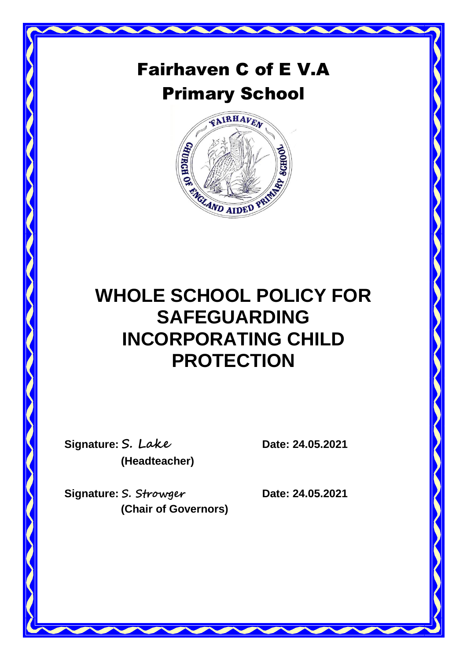# Fairhaven C of E V.A Primary School



# **WHOLE SCHOOL POLICY FOR SAFEGUARDING INCORPORATING CHILD PROTECTION**

**Signature: S. Lake Date: 24.05.2021 (Headteacher)**

**Signature: S. Strowger Date: 24.05.2021 (Chair of Governors)**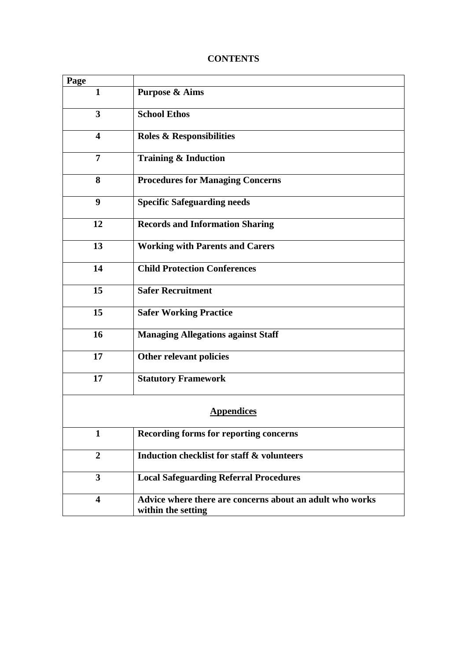# **CONTENTS**

| Page                    |                                                                                |  |
|-------------------------|--------------------------------------------------------------------------------|--|
| $\mathbf{1}$            | <b>Purpose &amp; Aims</b>                                                      |  |
| $\overline{\mathbf{3}}$ | <b>School Ethos</b>                                                            |  |
| $\blacktriangleleft$    | <b>Roles &amp; Responsibilities</b>                                            |  |
| $\overline{7}$          | <b>Training &amp; Induction</b>                                                |  |
| 8                       | <b>Procedures for Managing Concerns</b>                                        |  |
| 9                       | <b>Specific Safeguarding needs</b>                                             |  |
| 12                      | <b>Records and Information Sharing</b>                                         |  |
| 13                      | <b>Working with Parents and Carers</b>                                         |  |
| 14                      | <b>Child Protection Conferences</b>                                            |  |
| 15                      | <b>Safer Recruitment</b>                                                       |  |
| 15                      | <b>Safer Working Practice</b>                                                  |  |
| 16                      | <b>Managing Allegations against Staff</b>                                      |  |
| 17                      | Other relevant policies                                                        |  |
| 17                      | <b>Statutory Framework</b>                                                     |  |
| <b>Appendices</b>       |                                                                                |  |
| $\mathbf{1}$            | <b>Recording forms for reporting concerns</b>                                  |  |
| $\boldsymbol{2}$        | <b>Induction checklist for staff &amp; volunteers</b>                          |  |
| $\overline{\mathbf{3}}$ | <b>Local Safeguarding Referral Procedures</b>                                  |  |
| $\overline{\mathbf{4}}$ | Advice where there are concerns about an adult who works<br>within the setting |  |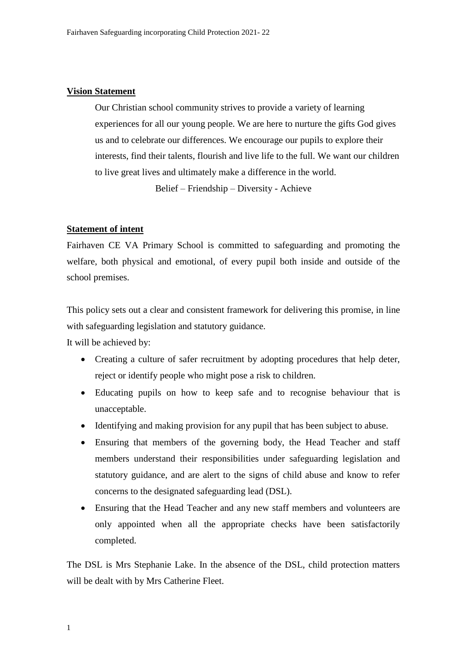## **Vision Statement**

Our Christian school community strives to provide a variety of learning experiences for all our young people. We are here to nurture the gifts God gives us and to celebrate our differences. We encourage our pupils to explore their interests, find their talents, flourish and live life to the full. We want our children to live great lives and ultimately make a difference in the world.

Belief – Friendship – Diversity - Achieve

## **Statement of intent**

Fairhaven CE VA Primary School is committed to safeguarding and promoting the welfare, both physical and emotional, of every pupil both inside and outside of the school premises.

This policy sets out a clear and consistent framework for delivering this promise, in line with safeguarding legislation and statutory guidance.

It will be achieved by:

- Creating a culture of safer recruitment by adopting procedures that help deter, reject or identify people who might pose a risk to children.
- Educating pupils on how to keep safe and to recognise behaviour that is unacceptable.
- Identifying and making provision for any pupil that has been subject to abuse.
- Ensuring that members of the governing body, the Head Teacher and staff members understand their responsibilities under safeguarding legislation and statutory guidance, and are alert to the signs of child abuse and know to refer concerns to the designated safeguarding lead (DSL).
- Ensuring that the Head Teacher and any new staff members and volunteers are only appointed when all the appropriate checks have been satisfactorily completed.

The DSL is Mrs Stephanie Lake. In the absence of the DSL, child protection matters will be dealt with by Mrs Catherine Fleet.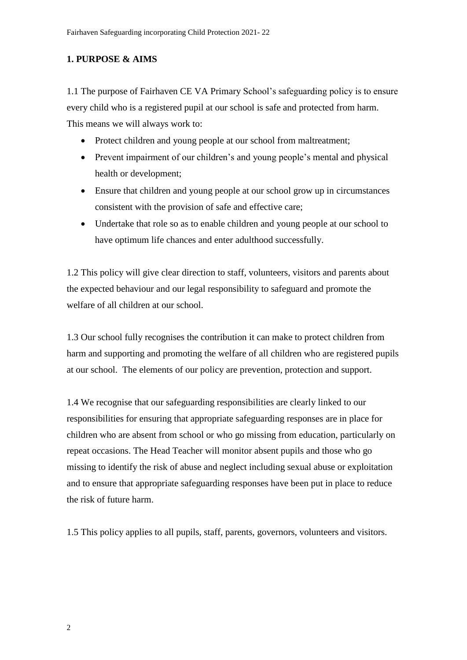# **1. PURPOSE & AIMS**

1.1 The purpose of Fairhaven CE VA Primary School's safeguarding policy is to ensure every child who is a registered pupil at our school is safe and protected from harm. This means we will always work to:

- Protect children and young people at our school from maltreatment;
- Prevent impairment of our children's and young people's mental and physical health or development;
- Ensure that children and young people at our school grow up in circumstances consistent with the provision of safe and effective care;
- Undertake that role so as to enable children and young people at our school to have optimum life chances and enter adulthood successfully.

1.2 This policy will give clear direction to staff, volunteers, visitors and parents about the expected behaviour and our legal responsibility to safeguard and promote the welfare of all children at our school.

1.3 Our school fully recognises the contribution it can make to protect children from harm and supporting and promoting the welfare of all children who are registered pupils at our school. The elements of our policy are prevention, protection and support.

1.4 We recognise that our safeguarding responsibilities are clearly linked to our responsibilities for ensuring that appropriate safeguarding responses are in place for children who are absent from school or who go missing from education, particularly on repeat occasions. The Head Teacher will monitor absent pupils and those who go missing to identify the risk of abuse and neglect including sexual abuse or exploitation and to ensure that appropriate safeguarding responses have been put in place to reduce the risk of future harm.

1.5 This policy applies to all pupils, staff, parents, governors, volunteers and visitors.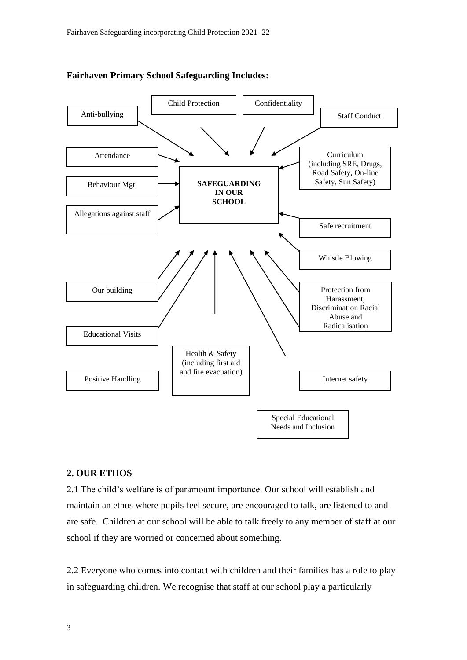

## **Fairhaven Primary School Safeguarding Includes:**

# **2. OUR ETHOS**

2.1 The child's welfare is of paramount importance. Our school will establish and maintain an ethos where pupils feel secure, are encouraged to talk, are listened to and are safe. Children at our school will be able to talk freely to any member of staff at our school if they are worried or concerned about something.

2.2 Everyone who comes into contact with children and their families has a role to play in safeguarding children. We recognise that staff at our school play a particularly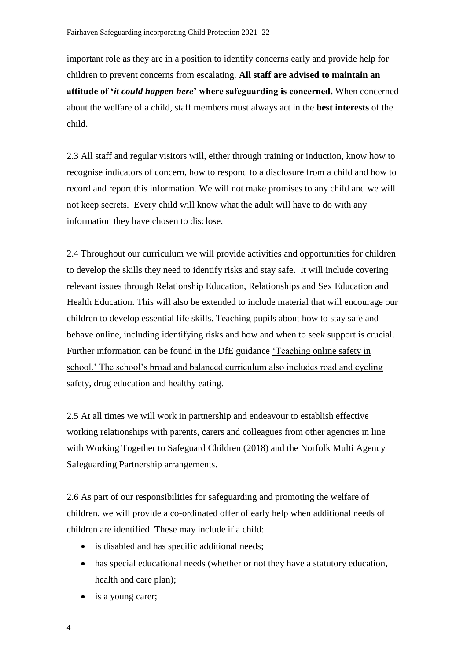important role as they are in a position to identify concerns early and provide help for children to prevent concerns from escalating. **All staff are advised to maintain an attitude of '***it could happen here***' where safeguarding is concerned.** When concerned about the welfare of a child, staff members must always act in the **best interests** of the child.

2.3 All staff and regular visitors will, either through training or induction, know how to recognise indicators of concern, how to respond to a disclosure from a child and how to record and report this information. We will not make promises to any child and we will not keep secrets. Every child will know what the adult will have to do with any information they have chosen to disclose.

2.4 Throughout our curriculum we will provide activities and opportunities for children to develop the skills they need to identify risks and stay safe. It will include covering relevant issues through Relationship Education, Relationships and Sex Education and Health Education. This will also be extended to include material that will encourage our children to develop essential life skills. Teaching pupils about how to stay safe and behave online, including identifying risks and how and when to seek support is crucial. Further information can be found in the DfE guidance 'Teaching [online safety in](https://www.gov.uk/government/publications/teaching-online-safety-in-schools)  [school.'](https://www.gov.uk/government/publications/teaching-online-safety-in-schools) The school's broad and balanced curriculum also includes road and cycling safety, drug education and healthy eating.

2.5 At all times we will work in partnership and endeavour to establish effective working relationships with parents, carers and colleagues from other agencies in line with Working Together to Safeguard Children (2018) and the Norfolk Multi Agency Safeguarding Partnership arrangements.

2.6 As part of our responsibilities for safeguarding and promoting the welfare of children, we will provide a co-ordinated offer of early help when additional needs of children are identified. These may include if a child:

- is disabled and has specific additional needs;
- has special educational needs (whether or not they have a statutory education, health and care plan);
- is a young carer;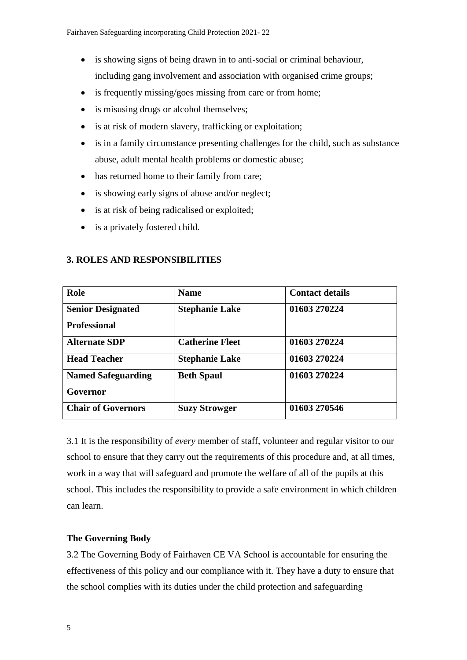- is showing signs of being drawn in to anti-social or criminal behaviour, including gang involvement and association with organised crime groups;
- is frequently missing/goes missing from care or from home;
- is misusing drugs or alcohol themselves:
- is at risk of modern slavery, trafficking or exploitation;
- is in a family circumstance presenting challenges for the child, such as substance abuse, adult mental health problems or domestic abuse;
- has returned home to their family from care;
- is showing early signs of abuse and/or neglect;
- is at risk of being radicalised or exploited;
- is a privately fostered child.

| Role                      | <b>Name</b>            | <b>Contact details</b> |
|---------------------------|------------------------|------------------------|
| <b>Senior Designated</b>  | <b>Stephanie Lake</b>  | 01603 270224           |
| <b>Professional</b>       |                        |                        |
| <b>Alternate SDP</b>      | <b>Catherine Fleet</b> | 01603 270224           |
| <b>Head Teacher</b>       | <b>Stephanie Lake</b>  | 01603 270224           |
| <b>Named Safeguarding</b> | <b>Beth Spaul</b>      | 01603 270224           |
| Governor                  |                        |                        |
| <b>Chair of Governors</b> | <b>Suzy Strowger</b>   | 01603 270546           |

## **3. ROLES AND RESPONSIBILITIES**

3.1 It is the responsibility of *every* member of staff, volunteer and regular visitor to our school to ensure that they carry out the requirements of this procedure and, at all times, work in a way that will safeguard and promote the welfare of all of the pupils at this school. This includes the responsibility to provide a safe environment in which children can learn.

# **The Governing Body**

3.2 The Governing Body of Fairhaven CE VA School is accountable for ensuring the effectiveness of this policy and our compliance with it. They have a duty to ensure that the school complies with its duties under the child protection and safeguarding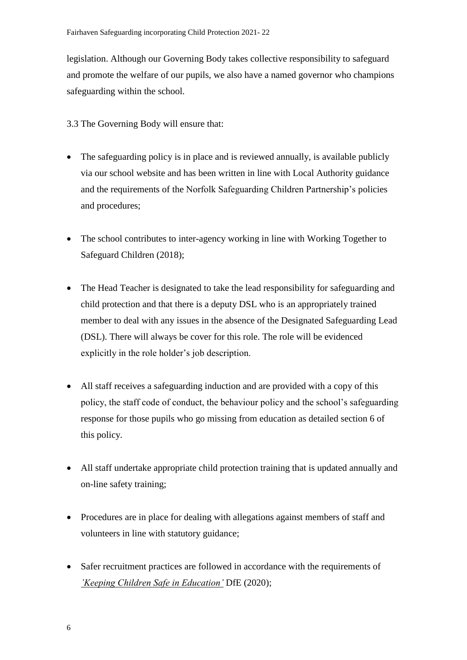legislation. Although our Governing Body takes collective responsibility to safeguard and promote the welfare of our pupils, we also have a named governor who champions safeguarding within the school.

3.3 The Governing Body will ensure that:

- The safeguarding policy is in place and is reviewed annually, is available publicly via our school website and has been written in line with Local Authority guidance and the requirements of the Norfolk Safeguarding Children Partnership's policies and procedures;
- The school contributes to inter-agency working in line with Working Together to Safeguard Children (2018);
- The Head Teacher is designated to take the lead responsibility for safeguarding and child protection and that there is a deputy DSL who is an appropriately trained member to deal with any issues in the absence of the Designated Safeguarding Lead (DSL). There will always be cover for this role. The role will be evidenced explicitly in the role holder's job description.
- All staff receives a safeguarding induction and are provided with a copy of this policy, the staff code of conduct, the behaviour policy and the school's safeguarding response for those pupils who go missing from education as detailed section 6 of this policy.
- All staff undertake appropriate child protection training that is updated annually and on-line safety training;
- Procedures are in place for dealing with allegations against members of staff and volunteers in line with statutory guidance;
- Safer recruitment practices are followed in accordance with the requirements of *['Keeping Children Safe in Education'](https://www.gov.uk/government/publications/keeping-children-safe-in-education--2)* DfE (2020);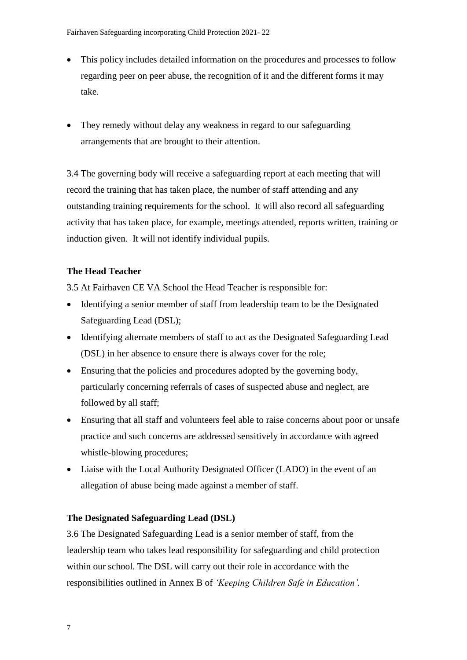- This policy includes detailed information on the procedures and processes to follow regarding peer on peer abuse, the recognition of it and the different forms it may take.
- They remedy without delay any weakness in regard to our safeguarding arrangements that are brought to their attention.

3.4 The governing body will receive a safeguarding report at each meeting that will record the training that has taken place, the number of staff attending and any outstanding training requirements for the school. It will also record all safeguarding activity that has taken place, for example, meetings attended, reports written, training or induction given. It will not identify individual pupils.

# **The Head Teacher**

3.5 At Fairhaven CE VA School the Head Teacher is responsible for:

- Identifying a senior member of staff from leadership team to be the Designated Safeguarding Lead (DSL);
- Identifying alternate members of staff to act as the Designated Safeguarding Lead (DSL) in her absence to ensure there is always cover for the role;
- Ensuring that the policies and procedures adopted by the governing body, particularly concerning referrals of cases of suspected abuse and neglect, are followed by all staff;
- Ensuring that all staff and volunteers feel able to raise concerns about poor or unsafe practice and such concerns are addressed sensitively in accordance with agreed whistle-blowing procedures;
- Liaise with the Local Authority Designated Officer (LADO) in the event of an allegation of abuse being made against a member of staff.

# **The Designated Safeguarding Lead (DSL)**

3.6 The Designated Safeguarding Lead is a senior member of staff, from the leadership team who takes lead responsibility for safeguarding and child protection within our school. The DSL will carry out their role in accordance with the responsibilities outlined in Annex B of *'Keeping Children Safe in Education'.*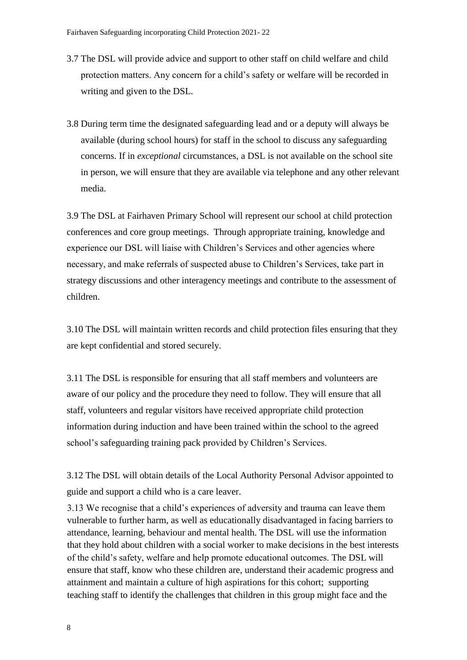- 3.7 The DSL will provide advice and support to other staff on child welfare and child protection matters. Any concern for a child's safety or welfare will be recorded in writing and given to the DSL.
- 3.8 During term time the designated safeguarding lead and or a deputy will always be available (during school hours) for staff in the school to discuss any safeguarding concerns. If in *exceptional* circumstances, a DSL is not available on the school site in person, we will ensure that they are available via telephone and any other relevant media.

3.9 The DSL at Fairhaven Primary School will represent our school at child protection conferences and core group meetings. Through appropriate training, knowledge and experience our DSL will liaise with Children's Services and other agencies where necessary, and make referrals of suspected abuse to Children's Services, take part in strategy discussions and other interagency meetings and contribute to the assessment of children.

3.10 The DSL will maintain written records and child protection files ensuring that they are kept confidential and stored securely.

3.11 The DSL is responsible for ensuring that all staff members and volunteers are aware of our policy and the procedure they need to follow. They will ensure that all staff, volunteers and regular visitors have received appropriate child protection information during induction and have been trained within the school to the agreed school's [safeguarding training pack](http://www.schools.norfolk.gov.uk/behaviour-and-safety/safeguarding/training/ncc096606) provided by Children's Services.

3.12 The DSL will obtain details of the Local Authority Personal Advisor appointed to guide and support a child who is a care leaver.

3.13 We recognise that a child's experiences of adversity and trauma can leave them vulnerable to further harm, as well as educationally disadvantaged in facing barriers to attendance, learning, behaviour and mental health. The DSL will use the information that they hold about children with a social worker to make decisions in the best interests of the child's safety, welfare and help promote educational outcomes. The DSL will ensure that staff, know who these children are, understand their academic progress and attainment and maintain a culture of high aspirations for this cohort; supporting teaching staff to identify the challenges that children in this group might face and the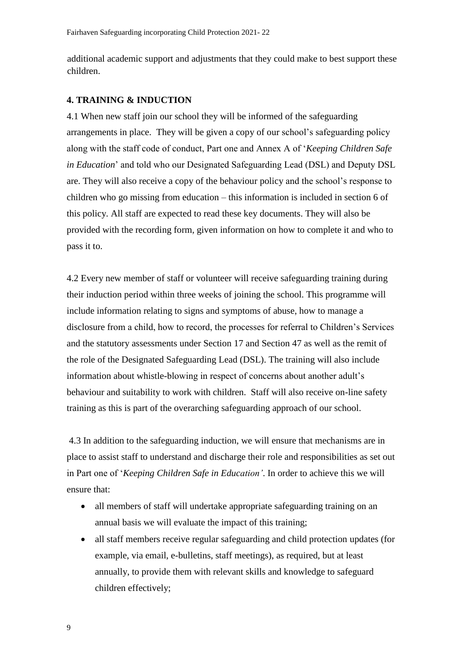additional academic support and adjustments that they could make to best support these children.

#### **4. TRAINING & INDUCTION**

4.1 When new staff join our school they will be informed of the safeguarding arrangements in place. They will be given a copy of our school's safeguarding policy along with the staff code of conduct, Part one and Annex A of '*Keeping Children Safe in Education*' and told who our Designated Safeguarding Lead (DSL) and Deputy DSL are. They will also receive a copy of the behaviour policy and the school's response to children who go missing from education – this information is included in section 6 of this policy. All staff are expected to read these key documents. They will also be provided with the recording form, given information on how to complete it and who to pass it to.

4.2 Every new member of staff or volunteer will receive safeguarding training during their induction period within three weeks of joining the school. This programme will include information relating to signs and symptoms of abuse, how to manage a disclosure from a child, how to record, the processes for referral to Children's Services and the statutory assessments under Section 17 and Section 47 as well as the remit of the role of the Designated Safeguarding Lead (DSL). The training will also include information about whistle-blowing in respect of concerns about another adult's behaviour and suitability to work with children. Staff will also receive on-line safety training as this is part of the overarching safeguarding approach of our school.

4.3 In addition to the safeguarding induction, we will ensure that mechanisms are in place to assist staff to understand and discharge their role and responsibilities as set out in Part one of '*Keeping Children Safe in Education'*. In order to achieve this we will ensure that:

- all members of staff will undertake appropriate safeguarding training on an annual basis we will evaluate the impact of this training;
- all staff members receive regular safeguarding and child protection updates (for example, via email, e-bulletins, staff meetings), as required, but at least annually, to provide them with relevant skills and knowledge to safeguard children effectively;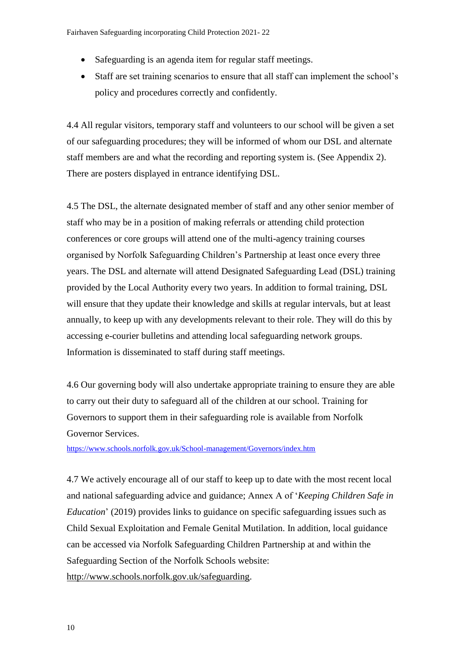- Safeguarding is an agenda item for regular staff meetings.
- Staff are set training scenarios to ensure that all staff can implement the school's policy and procedures correctly and confidently.

4.4 All regular visitors, temporary staff and volunteers to our school will be given a set of our safeguarding procedures; they will be informed of whom our DSL and alternate staff members are and what the recording and reporting system is. (See Appendix 2). There are posters displayed in entrance identifying DSL.

4.5 The DSL, the alternate designated member of staff and any other senior member of staff who may be in a position of making referrals or attending child protection conferences or core groups will attend one of the multi-agency training courses organised by Norfolk Safeguarding Children's Partnership at least once every three years. The DSL and alternate will attend Designated Safeguarding Lead (DSL) training provided by the Local Authority every two years. In addition to formal training, DSL will ensure that they update their knowledge and skills at regular intervals, but at least annually, to keep up with any developments relevant to their role. They will do this by accessing e-courier bulletins and attending local safeguarding network groups. Information is disseminated to staff during staff meetings.

4.6 Our governing body will also undertake appropriate training to ensure they are able to carry out their duty to safeguard all of the children at our school. Training for Governors to support them in their safeguarding role is available from [Norfolk](http://www.schools.norfolk.gov.uk/school-management/governors/index.htm)  [Governor Services.](http://www.schools.norfolk.gov.uk/school-management/governors/index.htm)

<https://www.schools.norfolk.gov.uk/School-management/Governors/index.htm>

4.7 We actively encourage all of our staff to keep up to date with the most recent local and national safeguarding advice and guidance; Annex A of '*Keeping Children Safe in Education*' (2019) provides links to guidance on specific safeguarding issues such as Child Sexual Exploitation and Female Genital Mutilation. In addition, local guidance can be accessed via Norfolk Safeguarding Children Partnership at and within the Safeguarding Section of the Norfolk Schools website: [http://www.schools.norfolk.gov.uk/safeguarding.](http://www.schools.norfolk.gov.uk/safeguarding)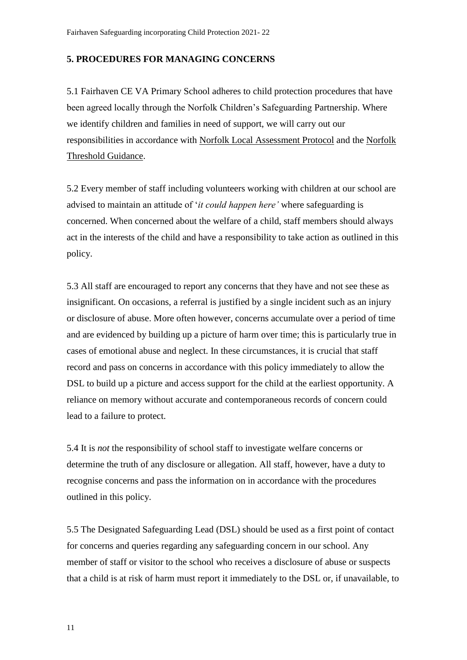## **5. PROCEDURES FOR MANAGING CONCERNS**

5.1 Fairhaven CE VA Primary School adheres to child protection procedures that have been agreed locally through the Norfolk Children's Safeguarding Partnership. Where we identify children and families in need of support, we will carry out our responsibilities in accordance with [Norfolk Local Assessment Protocol](http://www.norfolklscb.org/about/policies-procedures/3-2-norfolk-local-assessment-protocol/) and the [Norfolk](http://www.norfolklscb.org/wp-content/uploads/2015/12/norfolk_thresh_guide.pdf)  [Threshold Guidance.](http://www.norfolklscb.org/wp-content/uploads/2015/12/norfolk_thresh_guide.pdf)

5.2 Every member of staff including volunteers working with children at our school are advised to maintain an attitude of '*it could happen here'* where safeguarding is concerned. When concerned about the welfare of a child, staff members should always act in the interests of the child and have a responsibility to take action as outlined in this policy.

5.3 All staff are encouraged to report any concerns that they have and not see these as insignificant. On occasions, a referral is justified by a single incident such as an injury or disclosure of abuse. More often however, concerns accumulate over a period of time and are evidenced by building up a picture of harm over time; this is particularly true in cases of emotional abuse and neglect. In these circumstances, it is crucial that staff record and pass on concerns in accordance with this policy immediately to allow the DSL to build up a picture and access support for the child at the earliest opportunity. A reliance on memory without accurate and contemporaneous records of concern could lead to a failure to protect.

5.4 It is *not* the responsibility of school staff to investigate welfare concerns or determine the truth of any disclosure or allegation. All staff, however, have a duty to recognise concerns and pass the information on in accordance with the procedures outlined in this policy.

5.5 The Designated Safeguarding Lead (DSL) should be used as a first point of contact for concerns and queries regarding any safeguarding concern in our school. Any member of staff or visitor to the school who receives a disclosure of abuse or suspects that a child is at risk of harm must report it immediately to the DSL or, if unavailable, to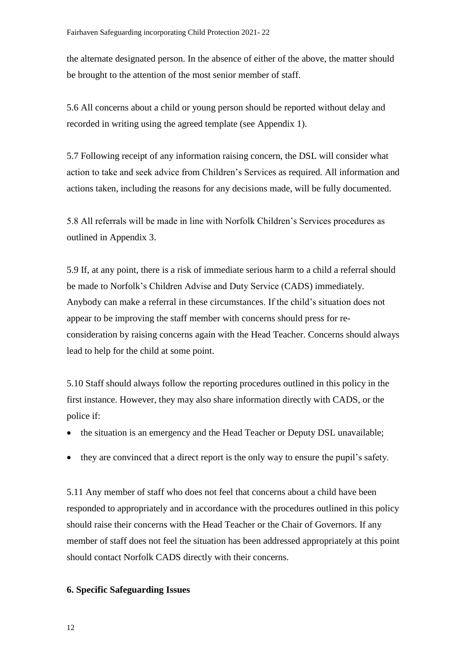the alternate designated person. In the absence of either of the above, the matter should be brought to the attention of the most senior member of staff.

5.6 All concerns about a child or young person should be reported without delay and recorded in writing using the agreed template (see Appendix 1).

5.7 Following receipt of any information raising concern, the DSL will consider what action to take and seek advice from Children's Services as required. All information and actions taken, including the reasons for any decisions made, will be fully documented.

5.8 All referrals will be made in line with Norfolk Children's Services procedures as outlined in Appendix 3.

5.9 If, at any point, there is a risk of immediate serious harm to a child a referral should be made to Norfolk's Children Advise and Duty Service (CADS) immediately. Anybody can make a referral in these circumstances. If the child's situation does not appear to be improving the staff member with concerns should press for reconsideration by raising concerns again with the Head Teacher. Concerns should always lead to help for the child at some point.

5.10 Staff should always follow the reporting procedures outlined in this policy in the first instance. However, they may also share information directly with CADS, or the police if:

- the situation is an emergency and the Head Teacher or Deputy DSL unavailable;
- they are convinced that a direct report is the only way to ensure the pupil's safety.

5.11 Any member of staff who does not feel that concerns about a child have been responded to appropriately and in accordance with the procedures outlined in this policy should raise their concerns with the Head Teacher or the Chair of Governors. If any member of staff does not feel the situation has been addressed appropriately at this point should contact Norfolk CADS directly with their concerns.

## **6. Specific Safeguarding Issues**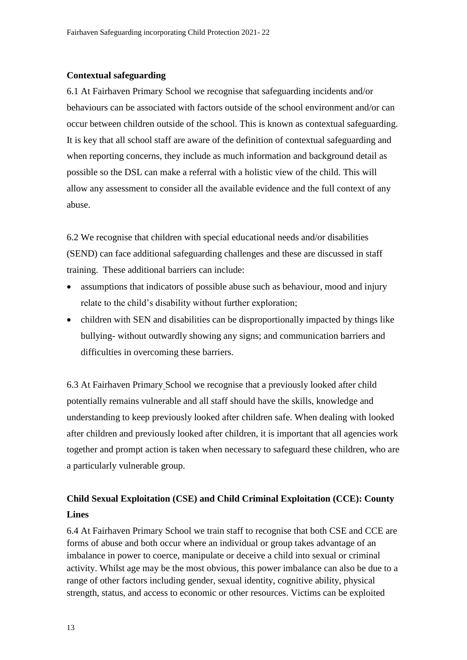## **Contextual safeguarding**

6.1 At Fairhaven Primary School we recognise that safeguarding incidents and/or behaviours can be associated with factors outside of the school environment and/or can occur between children outside of the school. This is known as contextual safeguarding. It is key that all school staff are aware of the definition of contextual safeguarding and when reporting concerns, they include as much information and background detail as possible so the DSL can make a referral with a holistic view of the child. This will allow any assessment to consider all the available evidence and the full context of any abuse.

6.2 We recognise that children with special educational needs and/or disabilities (SEND) can face additional safeguarding challenges and these are discussed in staff training. These additional barriers can include:

- assumptions that indicators of possible abuse such as behaviour, mood and injury relate to the child's disability without further exploration;
- children with SEN and disabilities can be disproportionally impacted by things like bullying- without outwardly showing any signs; and communication barriers and difficulties in overcoming these barriers.

6.3 At Fairhaven Primary School we recognise that a previously looked after child potentially remains vulnerable and all staff should have the skills, knowledge and understanding to keep previously looked after children safe. When dealing with looked after children and previously looked after children, it is important that all agencies work together and prompt action is taken when necessary to safeguard these children, who are a particularly vulnerable group.

# **Child Sexual Exploitation (CSE) and Child Criminal Exploitation (CCE): County Lines**

6.4 At Fairhaven Primary School we train staff to recognise that both CSE and CCE are forms of abuse and both occur where an individual or group takes advantage of an imbalance in power to coerce, manipulate or deceive a child into sexual or criminal activity. Whilst age may be the most obvious, this power imbalance can also be due to a range of other factors including gender, sexual identity, cognitive ability, physical strength, status, and access to economic or other resources. Victims can be exploited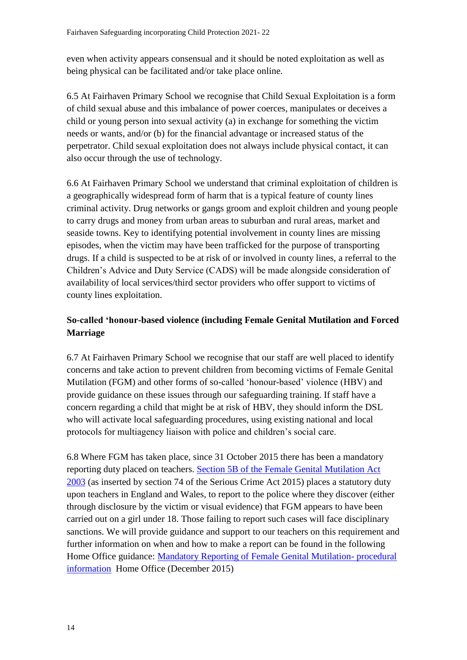even when activity appears consensual and it should be noted exploitation as well as being physical can be facilitated and/or take place online.

6.5 At Fairhaven Primary School we recognise that Child Sexual Exploitation is a form of child sexual abuse and this imbalance of power coerces, manipulates or deceives a child or young person into sexual activity (a) in exchange for something the victim needs or wants, and/or (b) for the financial advantage or increased status of the perpetrator. Child sexual exploitation does not always include physical contact, it can also occur through the use of technology.

6.6 At Fairhaven Primary School we understand that criminal exploitation of children is a geographically widespread form of harm that is a typical feature of county lines criminal activity. Drug networks or gangs groom and exploit children and young people to carry drugs and money from urban areas to suburban and rural areas, market and seaside towns. Key to identifying potential involvement in county lines are missing episodes, when the victim may have been trafficked for the purpose of transporting drugs. If a child is suspected to be at risk of or involved in county lines, a referral to the Children's Advice and Duty Service (CADS) will be made alongside consideration of availability of local services/third sector providers who offer support to victims of county lines exploitation.

# **So-called 'honour-based violence (including Female Genital Mutilation and Forced Marriage**

6.7 At Fairhaven Primary School we recognise that our staff are well placed to identify concerns and take action to prevent children from becoming victims of Female Genital Mutilation (FGM) and other forms of so-called 'honour-based' violence (HBV) and provide guidance on these issues through our safeguarding training. If staff have a concern regarding a child that might be at risk of HBV, they should inform the DSL who will activate local safeguarding procedures, using existing national and local protocols for multiagency liaison with police and children's social care.

6.8 Where FGM has taken place, since 31 October 2015 there has been a mandatory reporting duty placed on teachers. [Section 5B of the Female Genital Mutilation Act](http://www.legislation.gov.uk/ukpga/2003/31/section/5B)  [2003](http://www.legislation.gov.uk/ukpga/2003/31/section/5B) (as inserted by section 74 of the Serious Crime Act 2015) places a statutory duty upon teachers in England and Wales, to report to the police where they discover (either through disclosure by the victim or visual evidence) that FGM appears to have been carried out on a girl under 18. Those failing to report such cases will face disciplinary sanctions. We will provide guidance and support to our teachers on this requirement and further information on when and how to make a report can be found in the following Home Office guidance: [Mandatory Reporting of Female Genital Mutilation-](https://www.gov.uk/government/publications/mandatory-reporting-of-female-genital-mutilation-procedural-information) procedural [information](https://www.gov.uk/government/publications/mandatory-reporting-of-female-genital-mutilation-procedural-information) Home Office (December 2015)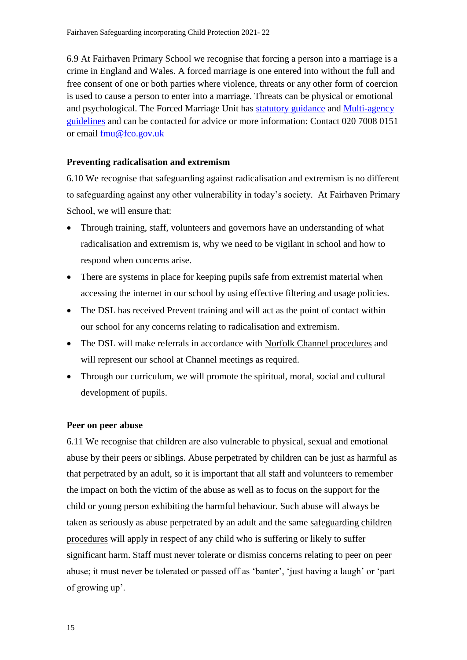6.9 At Fairhaven Primary School we recognise that forcing a person into a marriage is a crime in England and Wales. A forced marriage is one entered into without the full and free consent of one or both parties where violence, threats or any other form of coercion is used to cause a person to enter into a marriage. Threats can be physical or emotional and psychological. The Forced Marriage Unit has [statutory guidance](https://www.gov.uk/guidance/forced-marriage) and [Multi-agency](https://assets.publishing.service.gov.uk/government/uploads/system/uploads/attachment_data/file/322307/HMG_MULTI_AGENCY_PRACTICE_GUIDELINES_v1_180614_FINAL.pdf)  [guidelines](https://assets.publishing.service.gov.uk/government/uploads/system/uploads/attachment_data/file/322307/HMG_MULTI_AGENCY_PRACTICE_GUIDELINES_v1_180614_FINAL.pdf) and can be contacted for advice or more information: Contact 020 7008 0151 or email [fmu@fco.gov.uk](mailto:fmu@fco.gov.uk)

## **Preventing radicalisation and extremism**

6.10 We recognise that safeguarding against radicalisation and extremism is no different to safeguarding against any other vulnerability in today's society*.* At Fairhaven Primary School, we will ensure that:

- Through training, staff, volunteers and governors have an understanding of what radicalisation and extremism is, why we need to be vigilant in school and how to respond when concerns arise.
- There are systems in place for keeping pupils safe from extremist material when accessing the internet in our school by using effective filtering and usage policies.
- The DSL has received Prevent training and will act as the point of contact within our school for any concerns relating to radicalisation and extremism.
- The DSL will make referrals in accordance with [Norfolk Channel procedures](http://www.norfolklscb.org/wp-content/uploads/2016/05/Channel-Norfolk-SOP-April-2016.doc) and will represent our school at Channel meetings as required.
- Through our curriculum, we will promote the spiritual, moral, social and cultural development of pupils.

#### **Peer on peer abuse**

6.11 We recognise that children are also vulnerable to physical, sexual and emotional abuse by their peers or siblings. Abuse perpetrated by children can be just as harmful as that perpetrated by an adult, so it is important that all staff and volunteers to remember the impact on both the victim of the abuse as well as to focus on the support for the child or young person exhibiting the harmful behaviour. Such abuse will always be taken as seriously as abuse perpetrated by an adult and the same [safeguarding children](http://www.norfolklscb.org/about/policies-procedures/policies-and-procedures/)  [procedures](http://www.norfolklscb.org/about/policies-procedures/policies-and-procedures/) will apply in respect of any child who is suffering or likely to suffer significant harm. Staff must never tolerate or dismiss concerns relating to peer on peer abuse; it must never be tolerated or passed off as 'banter', 'just having a laugh' or 'part of growing up'.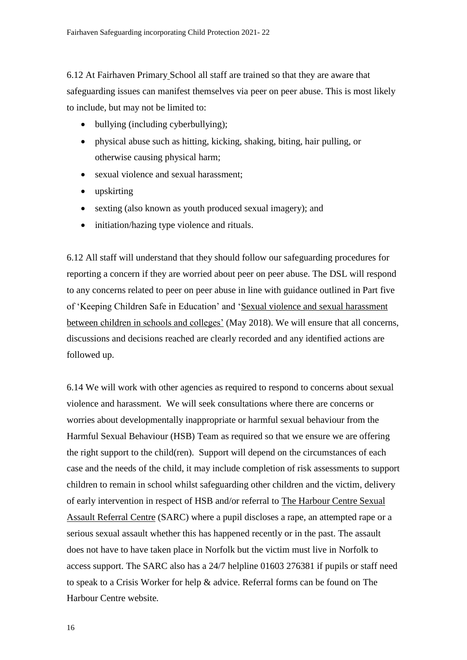6.12 At Fairhaven Primary School all staff are trained so that they are aware that safeguarding issues can manifest themselves via peer on peer abuse. This is most likely to include, but may not be limited to:

- bullying (including cyberbullying);
- physical abuse such as hitting, kicking, shaking, biting, hair pulling, or otherwise causing physical harm;
- sexual violence and sexual harassment;
- upskirting
- sexting (also known as youth produced sexual imagery); and
- initiation/hazing type violence and rituals.

6.12 All staff will understand that they should follow our safeguarding procedures for reporting a concern if they are worried about peer on peer abuse. The DSL will respond to any concerns related to peer on peer abuse in line with guidance outlined in Part five of 'Keeping Children Safe in Education' and ['Sexual violence and sexual harassment](https://www.gov.uk/government/uploads/system/uploads/attachment_data/file/719902/Sexual_violence_and_sexual_harassment_between_children_in_schools_and_colleges.pdf)  [between children in schools and colleges'](https://www.gov.uk/government/uploads/system/uploads/attachment_data/file/719902/Sexual_violence_and_sexual_harassment_between_children_in_schools_and_colleges.pdf) (May 2018). We will ensure that all concerns, discussions and decisions reached are clearly recorded and any identified actions are followed up.

6.14 We will work with other agencies as required to respond to concerns about sexual violence and harassment. We will seek consultations where there are concerns or worries about developmentally inappropriate or harmful sexual behaviour from the Harmful Sexual Behaviour (HSB) Team as required so that we ensure we are offering the right support to the child(ren). Support will depend on the circumstances of each case and the needs of the child, it may include completion of risk assessments to support children to remain in school whilst safeguarding other children and the victim, delivery of early intervention in respect of HSB and/or referral to [The Harbour Centre Sexual](https://imsva91-ctp.trendmicro.com/wis/clicktime/v1/query?url=http%3a%2f%2fwww.theharbourcentre.co.uk&umid=FBE9BDB9-708E-D505-89DC-98F88EDBB8B3&auth=76a36a0301cf7179612a4414203a61368905a968-d55fef71915a120f9ba7f760435220bc4a8fca8b)  [Assault Referral Centre](https://imsva91-ctp.trendmicro.com/wis/clicktime/v1/query?url=http%3a%2f%2fwww.theharbourcentre.co.uk&umid=FBE9BDB9-708E-D505-89DC-98F88EDBB8B3&auth=76a36a0301cf7179612a4414203a61368905a968-d55fef71915a120f9ba7f760435220bc4a8fca8b) (SARC) where a pupil discloses a rape, an attempted rape or a serious sexual assault whether this has happened recently or in the past. The assault does not have to have taken place in Norfolk but the victim must live in Norfolk to access support. The SARC also has a 24/7 helpline 01603 276381 if pupils or staff need to speak to a Crisis Worker for help & advice. Referral forms can be found on The Harbour Centre website*.*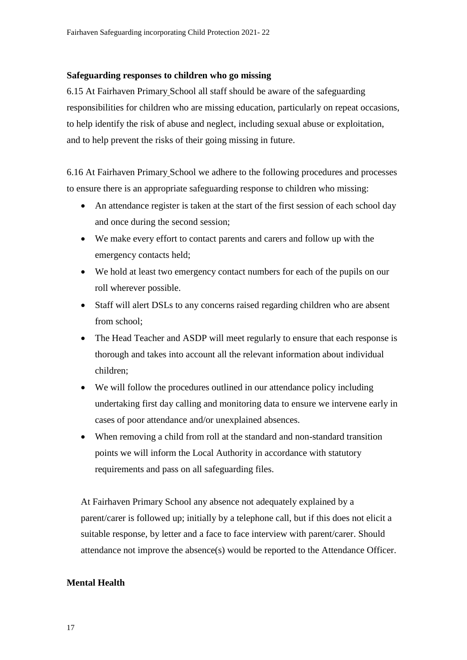### **Safeguarding responses to children who go missing**

6.15 At Fairhaven Primary School all staff should be aware of the safeguarding responsibilities for children who are missing education, particularly on repeat occasions, to help identify the risk of abuse and neglect, including sexual abuse or exploitation, and to help prevent the risks of their going missing in future.

6.16 At Fairhaven Primary School we adhere to the following procedures and processes to ensure there is an appropriate safeguarding response to children who missing:

- An attendance register is taken at the start of the first session of each school day and once during the second session;
- We make every effort to contact parents and carers and follow up with the emergency contacts held;
- We hold at least two emergency contact numbers for each of the pupils on our roll wherever possible.
- Staff will alert DSLs to any concerns raised regarding children who are absent from school;
- The Head Teacher and ASDP will meet regularly to ensure that each response is thorough and takes into account all the relevant information about individual children;
- We will follow the procedures outlined in our attendance policy including undertaking first day calling and monitoring data to ensure we intervene early in cases of poor attendance and/or unexplained absences.
- When removing a child from roll at the standard and non-standard transition points we will inform the Local Authority in accordance with statutory requirements and pass on all safeguarding files.

At Fairhaven Primary School any absence not adequately explained by a parent/carer is followed up; initially by a telephone call, but if this does not elicit a suitable response, by letter and a face to face interview with parent/carer. Should attendance not improve the absence(s) would be reported to the Attendance Officer.

# **Mental Health**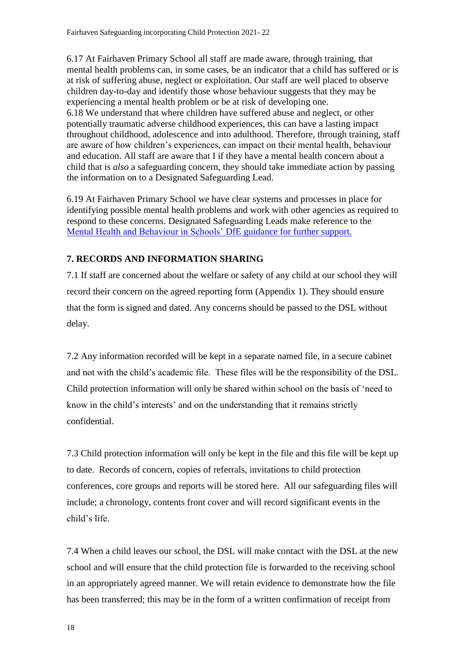6.17 At Fairhaven Primary School all staff are made aware, through training, that mental health problems can, in some cases, be an indicator that a child has suffered or is at risk of suffering abuse, neglect or exploitation. Our staff are well placed to observe children day-to-day and identify those whose behaviour suggests that they may be experiencing a mental health problem or be at risk of developing one. 6.18 We understand that where children have suffered abuse and neglect, or other potentially traumatic adverse childhood experiences, this can have a lasting impact throughout childhood, adolescence and into adulthood. Therefore, through training, staff are aware of how children's experiences, can impact on their mental health, behaviour and education. All staff are aware that I if they have a mental health concern about a child that is *also* a safeguarding concern, they should take immediate action by passing the information on to a Designated Safeguarding Lead.

6.19 At Fairhaven Primary School we have clear systems and processes in place for identifying possible mental health problems and work with other agencies as required to respond to these concerns. Designated Safeguarding Leads make reference to the [Mental Health and Behaviour in Schools'](https://www.gov.uk/government/publications/mental-health-and-behaviour-in-schools--2) DfE guidance for further support.

# **7. RECORDS AND INFORMATION SHARING**

7.1 If staff are concerned about the welfare or safety of any child at our school they will record their concern on the agreed reporting form (Appendix 1). They should ensure that the form is signed and dated. Any concerns should be passed to the DSL without delay.

7.2 Any information recorded will be kept in a separate named file, in a secure cabinet and not with the child's academic file. These files will be the responsibility of the DSL. Child protection information will only be shared within school on the basis of 'need to know in the child's interests' and on the understanding that it remains strictly confidential.

7.3 Child protection information will only be kept in the file and this file will be kept up to date. Records of concern, copies of referrals, invitations to child protection conferences, core groups and reports will be stored here. All our safeguarding files will include; a chronology, contents front cover and will record significant events in the child's life.

7.4 When a child leaves our school, the DSL will make contact with the DSL at the new school and will ensure that the child protection file is forwarded to the receiving school in an appropriately agreed manner. We will retain evidence to demonstrate how the file has been transferred; this may be in the form of a written confirmation of receipt from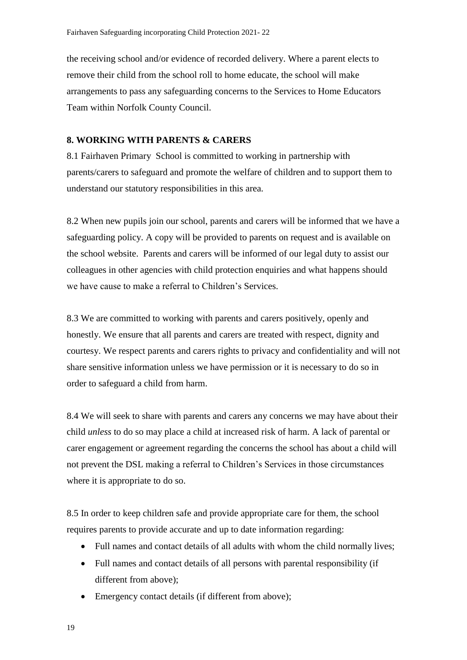the receiving school and/or evidence of recorded delivery. Where a parent elects to remove their child from the school roll to home educate, the school will make arrangements to pass any safeguarding concerns to the Services to Home Educators Team within Norfolk County Council.

## **8. WORKING WITH PARENTS & CARERS**

8.1 Fairhaven Primary School is committed to working in partnership with parents/carers to safeguard and promote the welfare of children and to support them to understand our statutory responsibilities in this area.

8.2 When new pupils join our school, parents and carers will be informed that we have a safeguarding policy. A copy will be provided to parents on request and is available on the school website. Parents and carers will be informed of our legal duty to assist our colleagues in other agencies with child protection enquiries and what happens should we have cause to make a referral to Children's Services.

8.3 We are committed to working with parents and carers positively, openly and honestly. We ensure that all parents and carers are treated with respect, dignity and courtesy. We respect parents and carers rights to privacy and confidentiality and will not share sensitive information unless we have permission or it is necessary to do so in order to safeguard a child from harm.

8.4 We will seek to share with parents and carers any concerns we may have about their child *unless* to do so may place a child at increased risk of harm. A lack of parental or carer engagement or agreement regarding the concerns the school has about a child will not prevent the DSL making a referral to Children's Services in those circumstances where it is appropriate to do so.

8.5 In order to keep children safe and provide appropriate care for them, the school requires parents to provide accurate and up to date information regarding:

- Full names and contact details of all adults with whom the child normally lives;
- Full names and contact details of all persons with parental responsibility (if different from above);
- Emergency contact details (if different from above);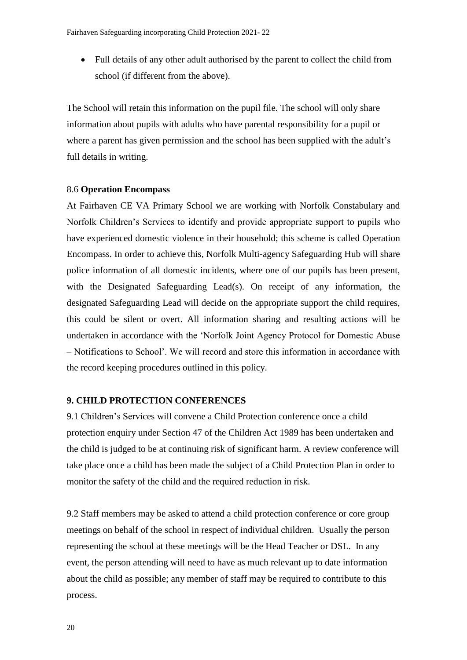Full details of any other adult authorised by the parent to collect the child from school (if different from the above).

The School will retain this information on the pupil file. The school will only share information about pupils with adults who have parental responsibility for a pupil or where a parent has given permission and the school has been supplied with the adult's full details in writing.

#### 8.6 **Operation Encompass**

At Fairhaven CE VA Primary School we are working with Norfolk Constabulary and Norfolk Children's Services to identify and provide appropriate support to pupils who have experienced domestic violence in their household; this scheme is called Operation Encompass. In order to achieve this, Norfolk Multi-agency Safeguarding Hub will share police information of all domestic incidents, where one of our pupils has been present, with the Designated Safeguarding Lead(s). On receipt of any information, the designated Safeguarding Lead will decide on the appropriate support the child requires, this could be silent or overt. All information sharing and resulting actions will be undertaken in accordance with the 'Norfolk Joint Agency Protocol for Domestic Abuse – Notifications to School'. We will record and store this information in accordance with the record keeping procedures outlined in this policy.

## **9. CHILD PROTECTION CONFERENCES**

9.1 Children's Services will convene a Child Protection conference once a child protection enquiry under Section 47 of the Children Act 1989 has been undertaken and the child is judged to be at continuing risk of significant harm. A review conference will take place once a child has been made the subject of a Child Protection Plan in order to monitor the safety of the child and the required reduction in risk.

9.2 Staff members may be asked to attend a child protection conference or core group meetings on behalf of the school in respect of individual children. Usually the person representing the school at these meetings will be the Head Teacher or DSL. In any event, the person attending will need to have as much relevant up to date information about the child as possible; any member of staff may be required to contribute to this process.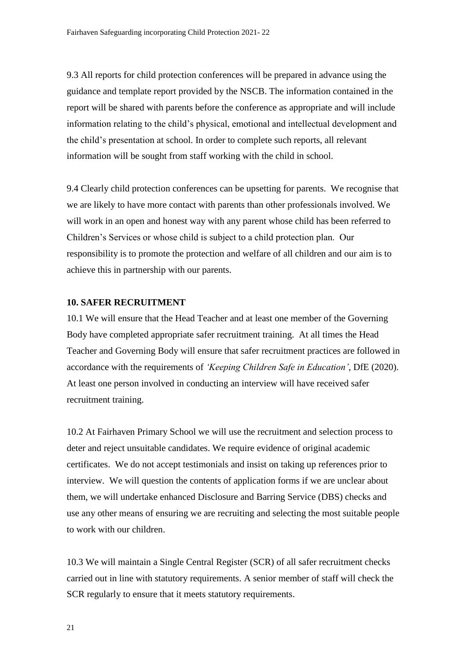9.3 All reports for child protection conferences will be prepared in advance using the guidance and template [report](http://www.schools.norfolk.gov.uk/download/ncc169080) provided by the NSCB. The information contained in the report will be shared with parents before the conference as appropriate and will include information relating to the child's physical, emotional and intellectual development and the child's presentation at school. In order to complete such reports, all relevant information will be sought from staff working with the child in school.

9.4 Clearly child protection conferences can be upsetting for parents. We recognise that we are likely to have more contact with parents than other professionals involved. We will work in an open and honest way with any parent whose child has been referred to Children's Services or whose child is subject to a child protection plan. Our responsibility is to promote the protection and welfare of all children and our aim is to achieve this in partnership with our parents.

#### **10. SAFER RECRUITMENT**

10.1 We will ensure that the Head Teacher and at least one member of the Governing Body have completed appropriate safer recruitment training. At all times the Head Teacher and Governing Body will ensure that safer recruitment practices are followed in accordance with the requirements of *'Keeping Children Safe in Education'*, DfE (2020). At least one person involved in conducting an interview will have received safer recruitment training.

10.2 At Fairhaven Primary School we will use the recruitment and selection process to deter and reject unsuitable candidates. We require evidence of original academic certificates. We do not accept testimonials and insist on taking up references prior to interview. We will question the contents of application forms if we are unclear about them, we will undertake enhanced Disclosure and Barring Service (DBS) checks and use any other means of ensuring we are recruiting and selecting the most suitable people to work with our children.

10.3 We will maintain a Single Central Register (SCR) of all safer recruitment checks carried out in line with statutory requirements. A senior member of staff will check the SCR regularly to ensure that it meets statutory requirements.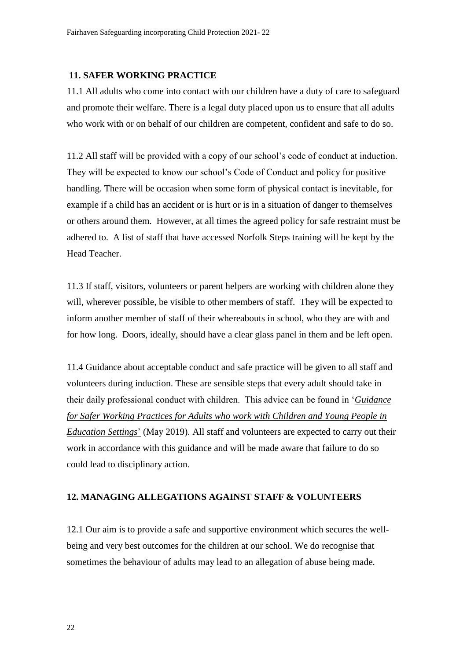#### **11. SAFER WORKING PRACTICE**

11.1 All adults who come into contact with our children have a duty of care to safeguard and promote their welfare. There is a legal duty placed upon us to ensure that all adults who work with or on behalf of our children are competent, confident and safe to do so.

11.2 All staff will be provided with a copy of our school's code of conduct at induction. They will be expected to know our school's Code of Conduct and policy for positive handling. There will be occasion when some form of physical contact is inevitable, for example if a child has an accident or is hurt or is in a situation of danger to themselves or others around them. However, at all times the agreed policy for safe restraint must be adhered to. A list of staff that have accessed Norfolk Steps training will be kept by the Head Teacher.

11.3 If staff, visitors, volunteers or parent helpers are working with children alone they will, wherever possible, be visible to other members of staff. They will be expected to inform another member of staff of their whereabouts in school, who they are with and for how long. Doors, ideally, should have a clear glass panel in them and be left open.

11.4 Guidance about acceptable conduct and safe practice will be given to all staff and volunteers during induction. These are sensible steps that every adult should take in their daily professional conduct with children. This advice can be found in '*[Guidance](http://www.schools.norfolk.gov.uk/download/ncc097068)  [for Safer Working Practices for Adults who work with Children and Young People in](http://www.schools.norfolk.gov.uk/download/ncc097068)  [Education Settings](http://www.schools.norfolk.gov.uk/download/ncc097068)*' (May 2019). All staff and volunteers are expected to carry out their work in accordance with this guidance and will be made aware that failure to do so could lead to disciplinary action.

## **12. MANAGING ALLEGATIONS AGAINST STAFF & VOLUNTEERS**

12.1 Our aim is to provide a safe and supportive environment which secures the wellbeing and very best outcomes for the children at our school. We do recognise that sometimes the behaviour of adults may lead to an allegation of abuse being made.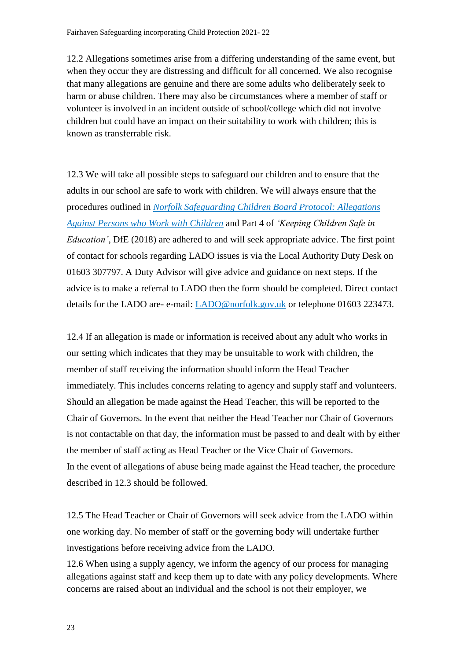12.2 Allegations sometimes arise from a differing understanding of the same event, but when they occur they are distressing and difficult for all concerned. We also recognise that many allegations are genuine and there are some adults who deliberately seek to harm or abuse children. There may also be circumstances where a member of staff or volunteer is involved in an incident outside of school/college which did not involve children but could have an impact on their suitability to work with children; this is known as transferrable risk.

12.3 We will take all possible steps to safeguard our children and to ensure that the adults in our school are safe to work with children. We will always ensure that the procedures outlined in *[Norfolk Safeguarding Children Board Protocol: Allegations](http://www.norfolklscb.org/about/policies-procedures/8-3-allegations-against-persons-who-work-with-children/)  [Against Persons who Work with Children](http://www.norfolklscb.org/about/policies-procedures/8-3-allegations-against-persons-who-work-with-children/)* and Part 4 of *'Keeping Children Safe in Education'*, DfE (2018) are adhered to and will seek appropriate advice. The first point of contact for schools regarding LADO issues is via the Local Authority Duty Desk on 01603 307797. A Duty Advisor will give advice and guidance on next steps. If the advice is to make a referral to LADO then the form should be completed. Direct contact details for the LADO are- e-mail: [LADO@norfolk.gov.uk](mailto:LADO@norfolk.gov.uk) or telephone 01603 223473.

12.4 If an allegation is made or information is received about any adult who works in our setting which indicates that they may be unsuitable to work with children, the member of staff receiving the information should inform the Head Teacher immediately. This includes concerns relating to agency and supply staff and volunteers. Should an allegation be made against the Head Teacher, this will be reported to the Chair of Governors. In the event that neither the Head Teacher nor Chair of Governors is not contactable on that day, the information must be passed to and dealt with by either the member of staff acting as Head Teacher or the Vice Chair of Governors. In the event of allegations of abuse being made against the Head teacher, the procedure described in 12.3 should be followed.

12.5 The Head Teacher or Chair of Governors will seek advice from the LADO within one working day. No member of staff or the governing body will undertake further investigations before receiving advice from the LADO.

12.6 When using a supply agency, we inform the agency of our process for managing allegations against staff and keep them up to date with any policy developments. Where concerns are raised about an individual and the school is not their employer, we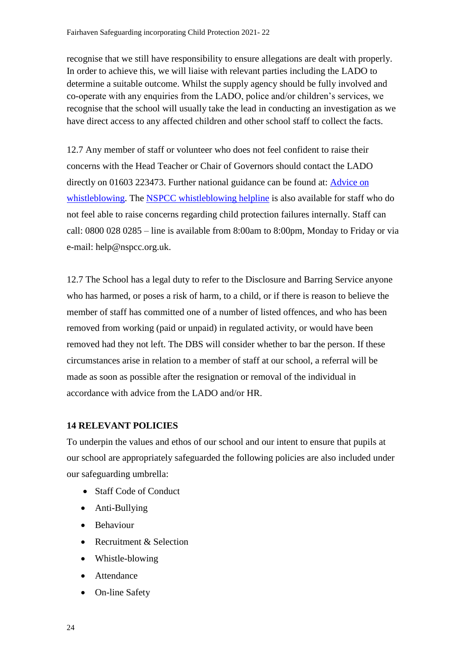recognise that we still have responsibility to ensure allegations are dealt with properly. In order to achieve this, we will liaise with relevant parties including the LADO to determine a suitable outcome. Whilst the supply agency should be fully involved and co-operate with any enquiries from the LADO, police and/or children's services, we recognise that the school will usually take the lead in conducting an investigation as we have direct access to any affected children and other school staff to collect the facts.

12.7 Any member of staff or volunteer who does not feel confident to raise their concerns with the Head Teacher or Chair of Governors should contact the LADO directly on 01603 223473. Further national guidance can be found at: [Advice on](https://www.gov.uk/whistleblowing)  [whistleblowing.](https://www.gov.uk/whistleblowing) The [NSPCC whistleblowing helpline](https://www.gov.uk/government/news/home-office-launches-child-abuse-whistleblowing-helpline) is also available for staff who do not feel able to raise concerns regarding child protection failures internally. Staff can call: 0800 028 0285 – line is available from 8:00am to 8:00pm, Monday to Friday or via e-mail: help@nspcc.org.uk.

12.7 The School has a legal duty to refer to the Disclosure and Barring Service anyone who has harmed, or poses a risk of harm, to a child, or if there is reason to believe the member of staff has committed one of a number of listed offences, and who has been removed from working (paid or unpaid) in regulated activity, or would have been removed had they not left. The DBS will consider whether to bar the person. If these circumstances arise in relation to a member of staff at our school, a referral will be made as soon as possible after the resignation or removal of the individual in accordance with advice from the LADO and/or HR.

# **14 RELEVANT POLICIES**

To underpin the values and ethos of our school and our intent to ensure that pupils at our school are appropriately safeguarded the following policies are also included under our safeguarding umbrella:

- Staff Code of Conduct
- Anti-Bullying
- Behaviour
- Recruitment & Selection
- Whistle-blowing
- Attendance
- On-line Safety